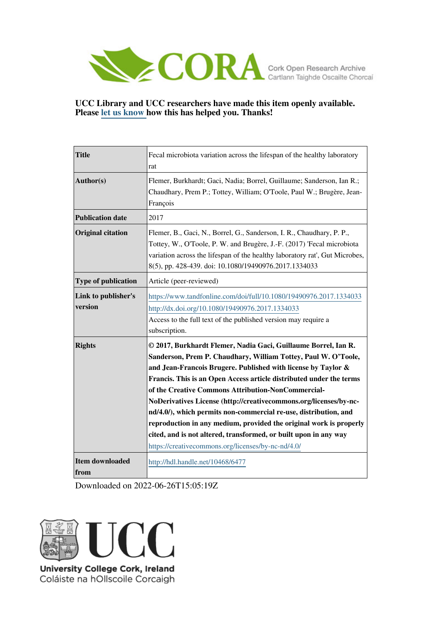

## **UCC Library and UCC researchers have made this item openly available. Please [let us know h](https://libguides.ucc.ie/openaccess/impact?suffix=6477&title=Fecal microbiota variation across the lifespan of the healthy laboratory rat)ow this has helped you. Thanks!**

| <b>Title</b>                   | Fecal microbiota variation across the lifespan of the healthy laboratory<br>rat                                                                                                                                                                                                                                                                                                                                                                                                                                                                                                                                                                                         |
|--------------------------------|-------------------------------------------------------------------------------------------------------------------------------------------------------------------------------------------------------------------------------------------------------------------------------------------------------------------------------------------------------------------------------------------------------------------------------------------------------------------------------------------------------------------------------------------------------------------------------------------------------------------------------------------------------------------------|
| Author(s)                      | Flemer, Burkhardt; Gaci, Nadia; Borrel, Guillaume; Sanderson, Ian R.;<br>Chaudhary, Prem P.; Tottey, William; O'Toole, Paul W.; Brugère, Jean-<br>François                                                                                                                                                                                                                                                                                                                                                                                                                                                                                                              |
| <b>Publication date</b>        | 2017                                                                                                                                                                                                                                                                                                                                                                                                                                                                                                                                                                                                                                                                    |
| <b>Original citation</b>       | Flemer, B., Gaci, N., Borrel, G., Sanderson, I. R., Chaudhary, P. P.,<br>Tottey, W., O'Toole, P. W. and Brugère, J.-F. (2017) 'Fecal microbiota<br>variation across the lifespan of the healthy laboratory rat', Gut Microbes,<br>8(5), pp. 428-439. doi: 10.1080/19490976.2017.1334033                                                                                                                                                                                                                                                                                                                                                                                 |
| Type of publication            | Article (peer-reviewed)                                                                                                                                                                                                                                                                                                                                                                                                                                                                                                                                                                                                                                                 |
| Link to publisher's<br>version | https://www.tandfonline.com/doi/full/10.1080/19490976.2017.1334033<br>http://dx.doi.org/10.1080/19490976.2017.1334033<br>Access to the full text of the published version may require a<br>subscription.                                                                                                                                                                                                                                                                                                                                                                                                                                                                |
| <b>Rights</b>                  | © 2017, Burkhardt Flemer, Nadia Gaci, Guillaume Borrel, Ian R.<br>Sanderson, Prem P. Chaudhary, William Tottey, Paul W. O'Toole,<br>and Jean-Francois Brugere. Published with license by Taylor &<br>Francis. This is an Open Access article distributed under the terms<br>of the Creative Commons Attribution-NonCommercial-<br>NoDerivatives License (http://creativecommons.org/licenses/by-nc-<br>nd/4.0/), which permits non-commercial re-use, distribution, and<br>reproduction in any medium, provided the original work is properly<br>cited, and is not altered, transformed, or built upon in any way<br>https://creativecommons.org/licenses/by-nc-nd/4.0/ |
| <b>Item downloaded</b><br>from | http://hdl.handle.net/10468/6477                                                                                                                                                                                                                                                                                                                                                                                                                                                                                                                                                                                                                                        |

Downloaded on 2022-06-26T15:05:19Z



Coláiste na hOllscoile Corcaigh